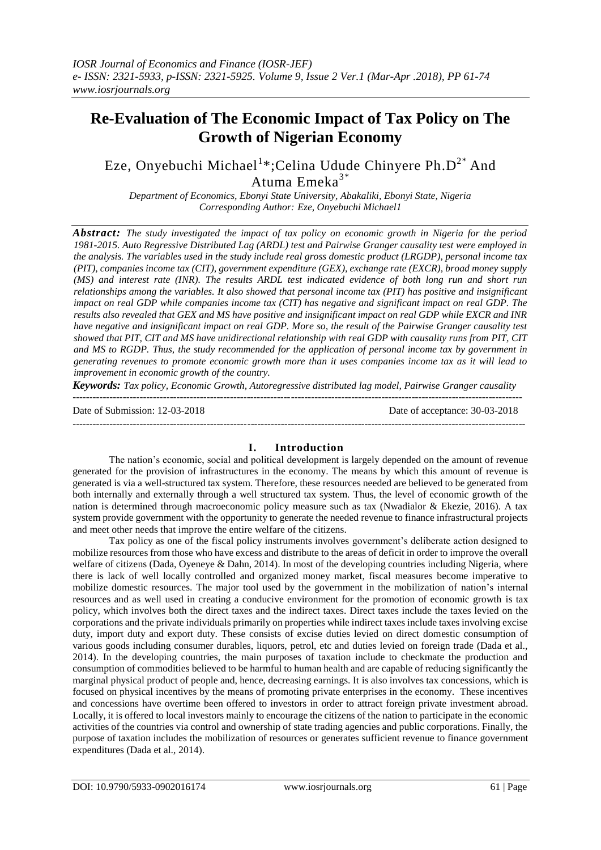# **Re-Evaluation of The Economic Impact of Tax Policy on The Growth of Nigerian Economy**

Eze, Onyebuchi Michael<sup>1</sup>\*;Celina Udude Chinyere Ph.D<sup>2\*</sup> And Atuma Emeka<sup>3\*</sup>

*Department of Economics, Ebonyi State University, Abakaliki, Ebonyi State, Nigeria Corresponding Author: Eze, Onyebuchi Michael1*

*Abstract: The study investigated the impact of tax policy on economic growth in Nigeria for the period 1981-2015. Auto Regressive Distributed Lag (ARDL) test and Pairwise Granger causality test were employed in the analysis. The variables used in the study include real gross domestic product (LRGDP), personal income tax (PIT), companies income tax (CIT), government expenditure (GEX), exchange rate (EXCR), broad money supply (MS) and interest rate (INR). The results ARDL test indicated evidence of both long run and short run relationships among the variables. It also showed that personal income tax (PIT) has positive and insignificant impact on real GDP while companies income tax (CIT) has negative and significant impact on real GDP. The results also revealed that GEX and MS have positive and insignificant impact on real GDP while EXCR and INR have negative and insignificant impact on real GDP. More so, the result of the Pairwise Granger causality test showed that PIT, CIT and MS have unidirectional relationship with real GDP with causality runs from PIT, CIT and MS to RGDP. Thus, the study recommended for the application of personal income tax by government in generating revenues to promote economic growth more than it uses companies income tax as it will lead to improvement in economic growth of the country.* 

*Keywords: Tax policy, Economic Growth, Autoregressive distributed lag model, Pairwise Granger causality* --------------------------------------------------------------------------------------------------------------------------------------

Date of Submission: 12-03-2018 Date of acceptance: 30-03-2018

#### ---------------------------------------------------------------------------------------------------------------------------------------

# **I. Introduction**

The nation's economic, social and political development is largely depended on the amount of revenue generated for the provision of infrastructures in the economy. The means by which this amount of revenue is generated is via a well-structured tax system. Therefore, these resources needed are believed to be generated from both internally and externally through a well structured tax system. Thus, the level of economic growth of the nation is determined through macroeconomic policy measure such as tax (Nwadialor & Ekezie, 2016). A tax system provide government with the opportunity to generate the needed revenue to finance infrastructural projects and meet other needs that improve the entire welfare of the citizens.

Tax policy as one of the fiscal policy instruments involves government's deliberate action designed to mobilize resources from those who have excess and distribute to the areas of deficit in order to improve the overall welfare of citizens (Dada, Oyeneye & Dahn, 2014). In most of the developing countries including Nigeria, where there is lack of well locally controlled and organized money market, fiscal measures become imperative to mobilize domestic resources. The major tool used by the government in the mobilization of nation's internal resources and as well used in creating a conducive environment for the promotion of economic growth is tax policy, which involves both the direct taxes and the indirect taxes. Direct taxes include the taxes levied on the corporations and the private individuals primarily on properties while indirect taxes include taxes involving excise duty, import duty and export duty. These consists of excise duties levied on direct domestic consumption of various goods including consumer durables, liquors, petrol, etc and duties levied on foreign trade (Dada et al., 2014). In the developing countries, the main purposes of taxation include to checkmate the production and consumption of commodities believed to be harmful to human health and are capable of reducing significantly the marginal physical product of people and, hence, decreasing earnings. It is also involves tax concessions, which is focused on physical incentives by the means of promoting private enterprises in the economy. These incentives and concessions have overtime been offered to investors in order to attract foreign private investment abroad. Locally, it is offered to local investors mainly to encourage the citizens of the nation to participate in the economic activities of the countries via control and ownership of state trading agencies and public corporations. Finally, the purpose of taxation includes the mobilization of resources or generates sufficient revenue to finance government expenditures (Dada et al., 2014).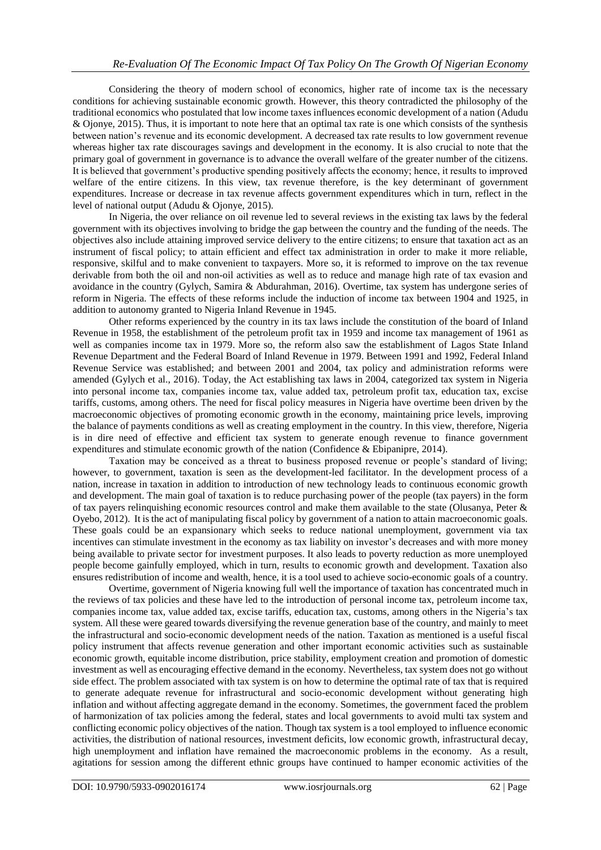Considering the theory of modern school of economics, higher rate of income tax is the necessary conditions for achieving sustainable economic growth. However, this theory contradicted the philosophy of the traditional economics who postulated that low income taxes influences economic development of a nation (Adudu & Ojonye, 2015). Thus, it is important to note here that an optimal tax rate is one which consists of the synthesis between nation's revenue and its economic development. A decreased tax rate results to low government revenue whereas higher tax rate discourages savings and development in the economy. It is also crucial to note that the primary goal of government in governance is to advance the overall welfare of the greater number of the citizens. It is believed that government's productive spending positively affects the economy; hence, it results to improved welfare of the entire citizens. In this view, tax revenue therefore, is the key determinant of government expenditures. Increase or decrease in tax revenue affects government expenditures which in turn, reflect in the level of national output (Adudu & Ojonye, 2015).

In Nigeria, the over reliance on oil revenue led to several reviews in the existing tax laws by the federal government with its objectives involving to bridge the gap between the country and the funding of the needs. The objectives also include attaining improved service delivery to the entire citizens; to ensure that taxation act as an instrument of fiscal policy; to attain efficient and effect tax administration in order to make it more reliable, responsive, skilful and to make convenient to taxpayers. More so, it is reformed to improve on the tax revenue derivable from both the oil and non-oil activities as well as to reduce and manage high rate of tax evasion and avoidance in the country (Gylych, Samira & Abdurahman, 2016). Overtime, tax system has undergone series of reform in Nigeria. The effects of these reforms include the induction of income tax between 1904 and 1925, in addition to autonomy granted to Nigeria Inland Revenue in 1945.

Other reforms experienced by the country in its tax laws include the constitution of the board of Inland Revenue in 1958, the establishment of the petroleum profit tax in 1959 and income tax management of 1961 as well as companies income tax in 1979. More so, the reform also saw the establishment of Lagos State Inland Revenue Department and the Federal Board of Inland Revenue in 1979. Between 1991 and 1992, Federal Inland Revenue Service was established; and between 2001 and 2004, tax policy and administration reforms were amended (Gylych et al., 2016). Today, the Act establishing tax laws in 2004, categorized tax system in Nigeria into personal income tax, companies income tax, value added tax, petroleum profit tax, education tax, excise tariffs, customs, among others. The need for fiscal policy measures in Nigeria have overtime been driven by the macroeconomic objectives of promoting economic growth in the economy, maintaining price levels, improving the balance of payments conditions as well as creating employment in the country. In this view, therefore, Nigeria is in dire need of effective and efficient tax system to generate enough revenue to finance government expenditures and stimulate economic growth of the nation (Confidence & Ebipanipre, 2014).

Taxation may be conceived as a threat to business proposed revenue or people's standard of living; however, to government, taxation is seen as the development-led facilitator. In the development process of a nation, increase in taxation in addition to introduction of new technology leads to continuous economic growth and development. The main goal of taxation is to reduce purchasing power of the people (tax payers) in the form of tax payers relinquishing economic resources control and make them available to the state (Olusanya, Peter  $\&$ Oyebo, 2012). It is the act of manipulating fiscal policy by government of a nation to attain macroeconomic goals. These goals could be an expansionary which seeks to reduce national unemployment, government via tax incentives can stimulate investment in the economy as tax liability on investor's decreases and with more money being available to private sector for investment purposes. It also leads to poverty reduction as more unemployed people become gainfully employed, which in turn, results to economic growth and development. Taxation also ensures redistribution of income and wealth, hence, it is a tool used to achieve socio-economic goals of a country.

Overtime, government of Nigeria knowing full well the importance of taxation has concentrated much in the reviews of tax policies and these have led to the introduction of personal income tax, petroleum income tax, companies income tax, value added tax, excise tariffs, education tax, customs, among others in the Nigeria's tax system. All these were geared towards diversifying the revenue generation base of the country, and mainly to meet the infrastructural and socio-economic development needs of the nation. Taxation as mentioned is a useful fiscal policy instrument that affects revenue generation and other important economic activities such as sustainable economic growth, equitable income distribution, price stability, employment creation and promotion of domestic investment as well as encouraging effective demand in the economy. Nevertheless, tax system does not go without side effect. The problem associated with tax system is on how to determine the optimal rate of tax that is required to generate adequate revenue for infrastructural and socio-economic development without generating high inflation and without affecting aggregate demand in the economy. Sometimes, the government faced the problem of harmonization of tax policies among the federal, states and local governments to avoid multi tax system and conflicting economic policy objectives of the nation. Though tax system is a tool employed to influence economic activities, the distribution of national resources, investment deficits, low economic growth, infrastructural decay, high unemployment and inflation have remained the macroeconomic problems in the economy. As a result, agitations for session among the different ethnic groups have continued to hamper economic activities of the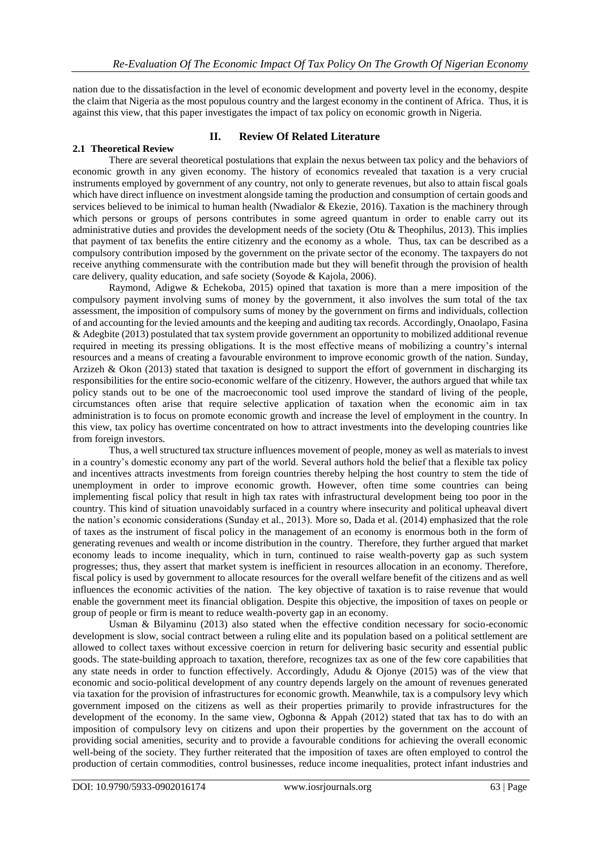nation due to the dissatisfaction in the level of economic development and poverty level in the economy, despite the claim that Nigeria as the most populous country and the largest economy in the continent of Africa. Thus, it is against this view, that this paper investigates the impact of tax policy on economic growth in Nigeria.

# **II. Review Of Related Literature**

## **2.1 Theoretical Review**

There are several theoretical postulations that explain the nexus between tax policy and the behaviors of economic growth in any given economy. The history of economics revealed that taxation is a very crucial instruments employed by government of any country, not only to generate revenues, but also to attain fiscal goals which have direct influence on investment alongside taming the production and consumption of certain goods and services believed to be inimical to human health (Nwadialor & Ekezie, 2016). Taxation is the machinery through which persons or groups of persons contributes in some agreed quantum in order to enable carry out its administrative duties and provides the development needs of the society (Otu & Theophilus, 2013). This implies that payment of tax benefits the entire citizenry and the economy as a whole. Thus, tax can be described as a compulsory contribution imposed by the government on the private sector of the economy. The taxpayers do not receive anything commensurate with the contribution made but they will benefit through the provision of health care delivery, quality education, and safe society (Soyode & Kajola, 2006).

Raymond, Adigwe & Echekoba, 2015) opined that taxation is more than a mere imposition of the compulsory payment involving sums of money by the government, it also involves the sum total of the tax assessment, the imposition of compulsory sums of money by the government on firms and individuals, collection of and accounting for the levied amounts and the keeping and auditing tax records. Accordingly, Onaolapo, Fasina & Adegbite (2013) postulated that tax system provide government an opportunity to mobilized additional revenue required in meeting its pressing obligations. It is the most effective means of mobilizing a country's internal resources and a means of creating a favourable environment to improve economic growth of the nation. Sunday, Arzizeh & Okon (2013) stated that taxation is designed to support the effort of government in discharging its responsibilities for the entire socio-economic welfare of the citizenry. However, the authors argued that while tax policy stands out to be one of the macroeconomic tool used improve the standard of living of the people, circumstances often arise that require selective application of taxation when the economic aim in tax administration is to focus on promote economic growth and increase the level of employment in the country. In this view, tax policy has overtime concentrated on how to attract investments into the developing countries like from foreign investors.

Thus, a well structured tax structure influences movement of people, money as well as materials to invest in a country's domestic economy any part of the world. Several authors hold the belief that a flexible tax policy and incentives attracts investments from foreign countries thereby helping the host country to stem the tide of unemployment in order to improve economic growth. However, often time some countries can being implementing fiscal policy that result in high tax rates with infrastructural development being too poor in the country. This kind of situation unavoidably surfaced in a country where insecurity and political upheaval divert the nation's economic considerations (Sunday et al., 2013). More so, Dada et al. (2014) emphasized that the role of taxes as the instrument of fiscal policy in the management of an economy is enormous both in the form of generating revenues and wealth or income distribution in the country. Therefore, they further argued that market economy leads to income inequality, which in turn, continued to raise wealth-poverty gap as such system progresses; thus, they assert that market system is inefficient in resources allocation in an economy. Therefore, fiscal policy is used by government to allocate resources for the overall welfare benefit of the citizens and as well influences the economic activities of the nation. The key objective of taxation is to raise revenue that would enable the government meet its financial obligation. Despite this objective, the imposition of taxes on people or group of people or firm is meant to reduce wealth-poverty gap in an economy.

Usman & Bilyaminu (2013) also stated when the effective condition necessary for socio-economic development is slow, social contract between a ruling elite and its population based on a political settlement are allowed to collect taxes without excessive coercion in return for delivering basic security and essential public goods. The state-building approach to taxation, therefore, recognizes tax as one of the few core capabilities that any state needs in order to function effectively. Accordingly, Adudu & Ojonye (2015) was of the view that economic and socio-political development of any country depends largely on the amount of revenues generated via taxation for the provision of infrastructures for economic growth. Meanwhile, tax is a compulsory levy which government imposed on the citizens as well as their properties primarily to provide infrastructures for the development of the economy. In the same view, Ogbonna & Appah (2012) stated that tax has to do with an imposition of compulsory levy on citizens and upon their properties by the government on the account of providing social amenities, security and to provide a favourable conditions for achieving the overall economic well-being of the society. They further reiterated that the imposition of taxes are often employed to control the production of certain commodities, control businesses, reduce income inequalities, protect infant industries and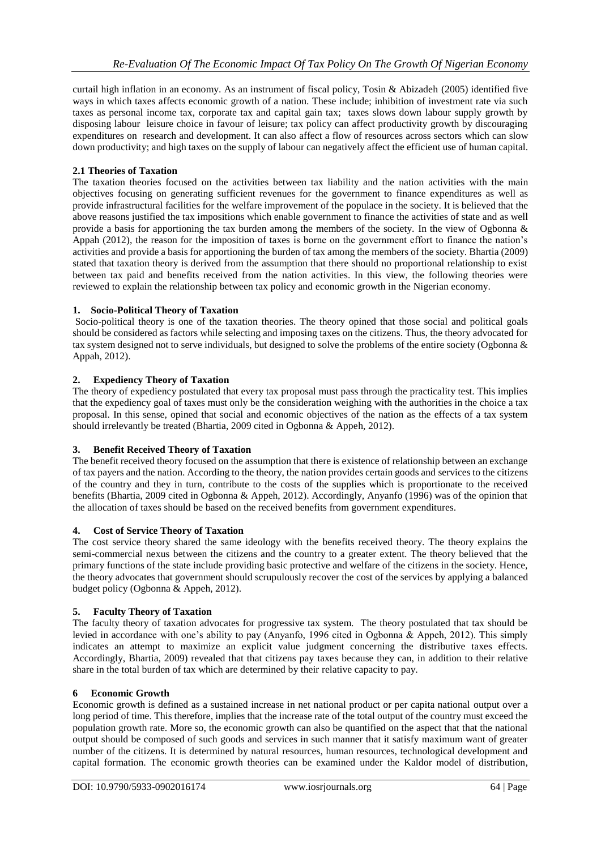curtail high inflation in an economy. As an instrument of fiscal policy, Tosin & Abizadeh (2005) identified five ways in which taxes affects economic growth of a nation. These include; inhibition of investment rate via such taxes as personal income tax, corporate tax and capital gain tax; taxes slows down labour supply growth by disposing labour leisure choice in favour of leisure; tax policy can affect productivity growth by discouraging expenditures on research and development. It can also affect a flow of resources across sectors which can slow down productivity; and high taxes on the supply of labour can negatively affect the efficient use of human capital.

# **2.1 Theories of Taxation**

The taxation theories focused on the activities between tax liability and the nation activities with the main objectives focusing on generating sufficient revenues for the government to finance expenditures as well as provide infrastructural facilities for the welfare improvement of the populace in the society. It is believed that the above reasons justified the tax impositions which enable government to finance the activities of state and as well provide a basis for apportioning the tax burden among the members of the society. In the view of Ogbonna & Appah (2012), the reason for the imposition of taxes is borne on the government effort to finance the nation's activities and provide a basis for apportioning the burden of tax among the members of the society. Bhartia (2009) stated that taxation theory is derived from the assumption that there should no proportional relationship to exist between tax paid and benefits received from the nation activities. In this view, the following theories were reviewed to explain the relationship between tax policy and economic growth in the Nigerian economy.

# **1. Socio-Political Theory of Taxation**

Socio-political theory is one of the taxation theories. The theory opined that those social and political goals should be considered as factors while selecting and imposing taxes on the citizens. Thus, the theory advocated for tax system designed not to serve individuals, but designed to solve the problems of the entire society (Ogbonna & Appah, 2012).

# **2. Expediency Theory of Taxation**

The theory of expediency postulated that every tax proposal must pass through the practicality test. This implies that the expediency goal of taxes must only be the consideration weighing with the authorities in the choice a tax proposal. In this sense, opined that social and economic objectives of the nation as the effects of a tax system should irrelevantly be treated (Bhartia, 2009 cited in Ogbonna & Appeh, 2012).

# **3. Benefit Received Theory of Taxation**

The benefit received theory focused on the assumption that there is existence of relationship between an exchange of tax payers and the nation. According to the theory, the nation provides certain goods and services to the citizens of the country and they in turn, contribute to the costs of the supplies which is proportionate to the received benefits (Bhartia, 2009 cited in Ogbonna & Appeh, 2012). Accordingly, Anyanfo (1996) was of the opinion that the allocation of taxes should be based on the received benefits from government expenditures.

## **4. Cost of Service Theory of Taxation**

The cost service theory shared the same ideology with the benefits received theory. The theory explains the semi-commercial nexus between the citizens and the country to a greater extent. The theory believed that the primary functions of the state include providing basic protective and welfare of the citizens in the society. Hence, the theory advocates that government should scrupulously recover the cost of the services by applying a balanced budget policy (Ogbonna & Appeh, 2012).

## **5. Faculty Theory of Taxation**

The faculty theory of taxation advocates for progressive tax system. The theory postulated that tax should be levied in accordance with one's ability to pay (Anyanfo, 1996 cited in Ogbonna & Appeh, 2012). This simply indicates an attempt to maximize an explicit value judgment concerning the distributive taxes effects. Accordingly, Bhartia, 2009) revealed that that citizens pay taxes because they can, in addition to their relative share in the total burden of tax which are determined by their relative capacity to pay.

## **6 Economic Growth**

Economic growth is defined as a sustained increase in net national product or per capita national output over a long period of time. This therefore, implies that the increase rate of the total output of the country must exceed the population growth rate. More so, the economic growth can also be quantified on the aspect that that the national output should be composed of such goods and services in such manner that it satisfy maximum want of greater number of the citizens. It is determined by natural resources, human resources, technological development and capital formation. The economic growth theories can be examined under the Kaldor model of distribution,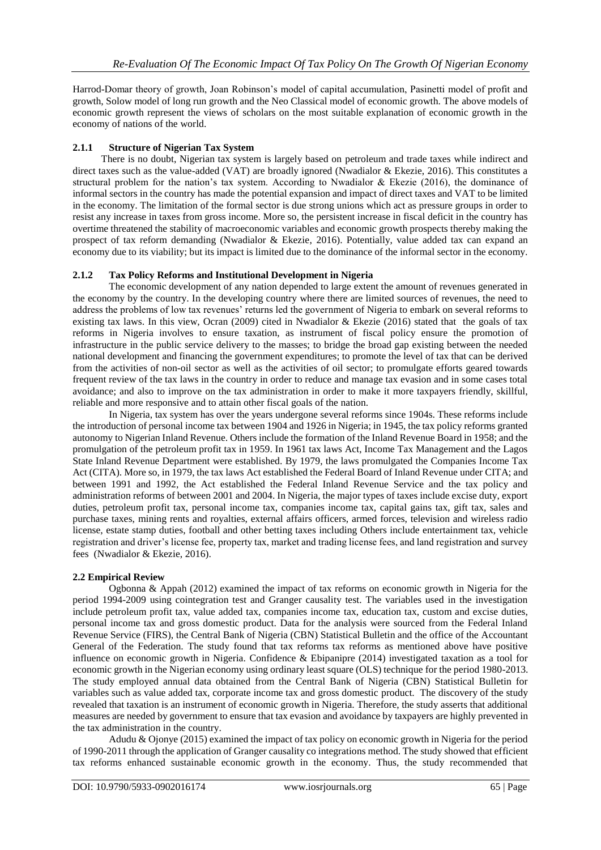Harrod-Domar theory of growth, Joan Robinson's model of capital accumulation, Pasinetti model of profit and growth, Solow model of long run growth and the Neo Classical model of economic growth. The above models of economic growth represent the views of scholars on the most suitable explanation of economic growth in the economy of nations of the world.

## **2.1.1 Structure of Nigerian Tax System**

There is no doubt, Nigerian tax system is largely based on petroleum and trade taxes while indirect and direct taxes such as the value-added (VAT) are broadly ignored (Nwadialor & Ekezie, 2016). This constitutes a structural problem for the nation's tax system. According to Nwadialor & Ekezie (2016), the dominance of informal sectors in the country has made the potential expansion and impact of direct taxes and VAT to be limited in the economy. The limitation of the formal sector is due strong unions which act as pressure groups in order to resist any increase in taxes from gross income. More so, the persistent increase in fiscal deficit in the country has overtime threatened the stability of macroeconomic variables and economic growth prospects thereby making the prospect of tax reform demanding (Nwadialor & Ekezie, 2016). Potentially, value added tax can expand an economy due to its viability; but its impact is limited due to the dominance of the informal sector in the economy.

# **2.1.2 Tax Policy Reforms and Institutional Development in Nigeria**

The economic development of any nation depended to large extent the amount of revenues generated in the economy by the country. In the developing country where there are limited sources of revenues, the need to address the problems of low tax revenues' returns led the government of Nigeria to embark on several reforms to existing tax laws. In this view, Ocran (2009) cited in Nwadialor & Ekezie (2016) stated that the goals of tax reforms in Nigeria involves to ensure taxation, as instrument of fiscal policy ensure the promotion of infrastructure in the public service delivery to the masses; to bridge the broad gap existing between the needed national development and financing the government expenditures; to promote the level of tax that can be derived from the activities of non-oil sector as well as the activities of oil sector; to promulgate efforts geared towards frequent review of the tax laws in the country in order to reduce and manage tax evasion and in some cases total avoidance; and also to improve on the tax administration in order to make it more taxpayers friendly, skillful, reliable and more responsive and to attain other fiscal goals of the nation.

In Nigeria, tax system has over the years undergone several reforms since 1904s. These reforms include the introduction of personal income tax between 1904 and 1926 in Nigeria; in 1945, the tax policy reforms granted autonomy to Nigerian Inland Revenue. Others include the formation of the Inland Revenue Board in 1958; and the promulgation of the petroleum profit tax in 1959. In 1961 tax laws Act, Income Tax Management and the Lagos State Inland Revenue Department were established. By 1979, the laws promulgated the Companies Income Tax Act (CITA). More so, in 1979, the tax laws Act established the Federal Board of Inland Revenue under CITA; and between 1991 and 1992, the Act established the Federal Inland Revenue Service and the tax policy and administration reforms of between 2001 and 2004. In Nigeria, the major types of taxes include excise duty, export duties, petroleum profit tax, personal income tax, companies income tax, capital gains tax, gift tax, sales and purchase taxes, mining rents and royalties, external affairs officers, armed forces, television and wireless radio license, estate stamp duties, football and other betting taxes including Others include entertainment tax, vehicle registration and driver's license fee, property tax, market and trading license fees, and land registration and survey fees (Nwadialor & Ekezie, 2016).

## **2.2 Empirical Review**

Ogbonna & Appah (2012) examined the impact of tax reforms on economic growth in Nigeria for the period 1994-2009 using cointegration test and Granger causality test. The variables used in the investigation include petroleum profit tax, value added tax, companies income tax, education tax, custom and excise duties, personal income tax and gross domestic product. Data for the analysis were sourced from the Federal Inland Revenue Service (FIRS), the Central Bank of Nigeria (CBN) Statistical Bulletin and the office of the Accountant General of the Federation. The study found that tax reforms tax reforms as mentioned above have positive influence on economic growth in Nigeria. Confidence & Ebipanipre (2014) investigated taxation as a tool for economic growth in the Nigerian economy using ordinary least square (OLS) technique for the period 1980-2013. The study employed annual data obtained from the Central Bank of Nigeria (CBN) Statistical Bulletin for variables such as value added tax, corporate income tax and gross domestic product. The discovery of the study revealed that taxation is an instrument of economic growth in Nigeria. Therefore, the study asserts that additional measures are needed by government to ensure that tax evasion and avoidance by taxpayers are highly prevented in the tax administration in the country.

Adudu & Ojonye (2015) examined the impact of tax policy on economic growth in Nigeria for the period of 1990-2011 through the application of Granger causality co integrations method. The study showed that efficient tax reforms enhanced sustainable economic growth in the economy. Thus, the study recommended that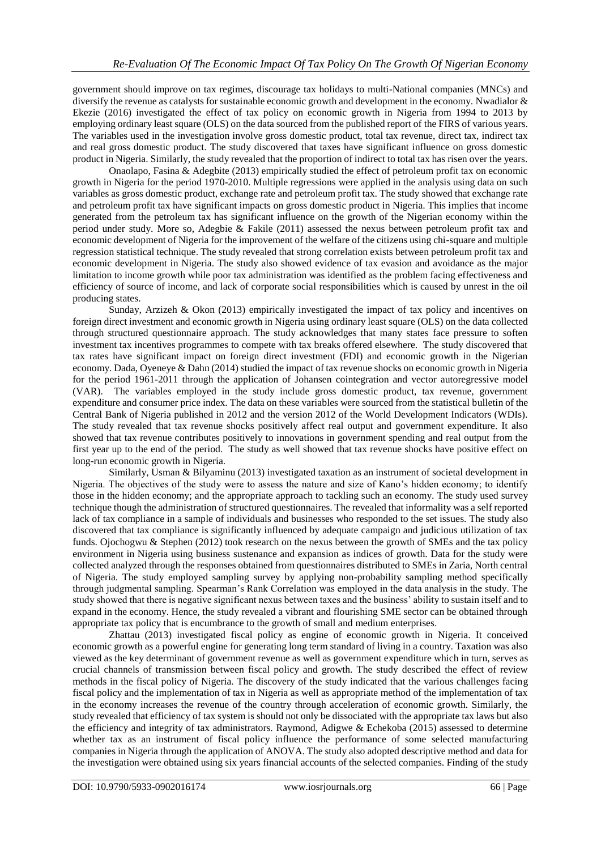government should improve on tax regimes, discourage tax holidays to multi-National companies (MNCs) and diversify the revenue as catalysts for sustainable economic growth and development in the economy. Nwadialor & Ekezie (2016) investigated the effect of tax policy on economic growth in Nigeria from 1994 to 2013 by employing ordinary least square (OLS) on the data sourced from the published report of the FIRS of various years. The variables used in the investigation involve gross domestic product, total tax revenue, direct tax, indirect tax and real gross domestic product. The study discovered that taxes have significant influence on gross domestic product in Nigeria. Similarly, the study revealed that the proportion of indirect to total tax has risen over the years.

Onaolapo, Fasina & Adegbite (2013) empirically studied the effect of petroleum profit tax on economic growth in Nigeria for the period 1970-2010. Multiple regressions were applied in the analysis using data on such variables as gross domestic product, exchange rate and petroleum profit tax. The study showed that exchange rate and petroleum profit tax have significant impacts on gross domestic product in Nigeria. This implies that income generated from the petroleum tax has significant influence on the growth of the Nigerian economy within the period under study. More so, Adegbie & Fakile (2011) assessed the nexus between petroleum profit tax and economic development of Nigeria for the improvement of the welfare of the citizens using chi-square and multiple regression statistical technique. The study revealed that strong correlation exists between petroleum profit tax and economic development in Nigeria. The study also showed evidence of tax evasion and avoidance as the major limitation to income growth while poor tax administration was identified as the problem facing effectiveness and efficiency of source of income, and lack of corporate social responsibilities which is caused by unrest in the oil producing states.

Sunday, Arzizeh & Okon (2013) empirically investigated the impact of tax policy and incentives on foreign direct investment and economic growth in Nigeria using ordinary least square (OLS) on the data collected through structured questionnaire approach. The study acknowledges that many states face pressure to soften investment tax incentives programmes to compete with tax breaks offered elsewhere. The study discovered that tax rates have significant impact on foreign direct investment (FDI) and economic growth in the Nigerian economy. Dada, Oyeneye & Dahn (2014) studied the impact of tax revenue shocks on economic growth in Nigeria for the period 1961-2011 through the application of Johansen cointegration and vector autoregressive model (VAR). The variables employed in the study include gross domestic product, tax revenue, government expenditure and consumer price index. The data on these variables were sourced from the statistical bulletin of the Central Bank of Nigeria published in 2012 and the version 2012 of the World Development Indicators (WDIs). The study revealed that tax revenue shocks positively affect real output and government expenditure. It also showed that tax revenue contributes positively to innovations in government spending and real output from the first year up to the end of the period. The study as well showed that tax revenue shocks have positive effect on long-run economic growth in Nigeria.

Similarly, Usman & Bilyaminu (2013) investigated taxation as an instrument of societal development in Nigeria. The objectives of the study were to assess the nature and size of Kano's hidden economy; to identify those in the hidden economy; and the appropriate approach to tackling such an economy. The study used survey technique though the administration of structured questionnaires. The revealed that informality was a self reported lack of tax compliance in a sample of individuals and businesses who responded to the set issues. The study also discovered that tax compliance is significantly influenced by adequate campaign and judicious utilization of tax funds. Ojochogwu & Stephen (2012) took research on the nexus between the growth of SMEs and the tax policy environment in Nigeria using business sustenance and expansion as indices of growth. Data for the study were collected analyzed through the responses obtained from questionnaires distributed to SMEs in Zaria, North central of Nigeria. The study employed sampling survey by applying non-probability sampling method specifically through judgmental sampling. Spearman's Rank Correlation was employed in the data analysis in the study. The study showed that there is negative significant nexus between taxes and the business' ability to sustain itself and to expand in the economy. Hence, the study revealed a vibrant and flourishing SME sector can be obtained through appropriate tax policy that is encumbrance to the growth of small and medium enterprises.

Zhattau (2013) investigated fiscal policy as engine of economic growth in Nigeria. It conceived economic growth as a powerful engine for generating long term standard of living in a country. Taxation was also viewed as the key determinant of government revenue as well as government expenditure which in turn, serves as crucial channels of transmission between fiscal policy and growth. The study described the effect of review methods in the fiscal policy of Nigeria. The discovery of the study indicated that the various challenges facing fiscal policy and the implementation of tax in Nigeria as well as appropriate method of the implementation of tax in the economy increases the revenue of the country through acceleration of economic growth. Similarly, the study revealed that efficiency of tax system is should not only be dissociated with the appropriate tax laws but also the efficiency and integrity of tax administrators. Raymond, Adigwe & Echekoba (2015) assessed to determine whether tax as an instrument of fiscal policy influence the performance of some selected manufacturing companies in Nigeria through the application of ANOVA. The study also adopted descriptive method and data for the investigation were obtained using six years financial accounts of the selected companies. Finding of the study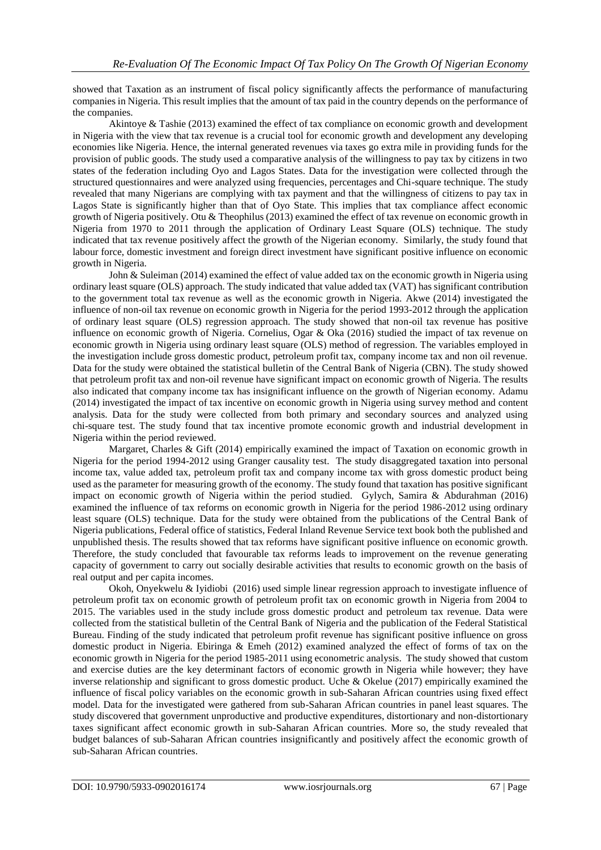showed that Taxation as an instrument of fiscal policy significantly affects the performance of manufacturing companies in Nigeria. This result implies that the amount of tax paid in the country depends on the performance of the companies.

Akintoye & Tashie (2013) examined the effect of tax compliance on economic growth and development in Nigeria with the view that tax revenue is a crucial tool for economic growth and development any developing economies like Nigeria. Hence, the internal generated revenues via taxes go extra mile in providing funds for the provision of public goods. The study used a comparative analysis of the willingness to pay tax by citizens in two states of the federation including Oyo and Lagos States. Data for the investigation were collected through the structured questionnaires and were analyzed using frequencies, percentages and Chi-square technique. The study revealed that many Nigerians are complying with tax payment and that the willingness of citizens to pay tax in Lagos State is significantly higher than that of Oyo State. This implies that tax compliance affect economic growth of Nigeria positively. Otu & Theophilus (2013) examined the effect of tax revenue on economic growth in Nigeria from 1970 to 2011 through the application of Ordinary Least Square (OLS) technique. The study indicated that tax revenue positively affect the growth of the Nigerian economy. Similarly, the study found that labour force, domestic investment and foreign direct investment have significant positive influence on economic growth in Nigeria.

John & Suleiman (2014) examined the effect of value added tax on the economic growth in Nigeria using ordinary least square (OLS) approach. The study indicated that value added tax (VAT) has significant contribution to the government total tax revenue as well as the economic growth in Nigeria. Akwe (2014) investigated the influence of non-oil tax revenue on economic growth in Nigeria for the period 1993-2012 through the application of ordinary least square (OLS) regression approach. The study showed that non-oil tax revenue has positive influence on economic growth of Nigeria. Cornelius, Ogar & Oka (2016) studied the impact of tax revenue on economic growth in Nigeria using ordinary least square (OLS) method of regression. The variables employed in the investigation include gross domestic product, petroleum profit tax, company income tax and non oil revenue. Data for the study were obtained the statistical bulletin of the Central Bank of Nigeria (CBN). The study showed that petroleum profit tax and non-oil revenue have significant impact on economic growth of Nigeria. The results also indicated that company income tax has insignificant influence on the growth of Nigerian economy. Adamu (2014) investigated the impact of tax incentive on economic growth in Nigeria using survey method and content analysis. Data for the study were collected from both primary and secondary sources and analyzed using chi-square test. The study found that tax incentive promote economic growth and industrial development in Nigeria within the period reviewed.

Margaret, Charles & Gift (2014) empirically examined the impact of Taxation on economic growth in Nigeria for the period 1994-2012 using Granger causality test. The study disaggregated taxation into personal income tax, value added tax, petroleum profit tax and company income tax with gross domestic product being used as the parameter for measuring growth of the economy. The study found that taxation has positive significant impact on economic growth of Nigeria within the period studied. Gylych, Samira & Abdurahman (2016) examined the influence of tax reforms on economic growth in Nigeria for the period 1986-2012 using ordinary least square (OLS) technique. Data for the study were obtained from the publications of the Central Bank of Nigeria publications, Federal office of statistics, Federal Inland Revenue Service text book both the published and unpublished thesis. The results showed that tax reforms have significant positive influence on economic growth. Therefore, the study concluded that favourable tax reforms leads to improvement on the revenue generating capacity of government to carry out socially desirable activities that results to economic growth on the basis of real output and per capita incomes.

Okoh, Onyekwelu & Iyidiobi (2016) used simple linear regression approach to investigate influence of petroleum profit tax on economic growth of petroleum profit tax on economic growth in Nigeria from 2004 to 2015. The variables used in the study include gross domestic product and petroleum tax revenue. Data were collected from the statistical bulletin of the Central Bank of Nigeria and the publication of the Federal Statistical Bureau. Finding of the study indicated that petroleum profit revenue has significant positive influence on gross domestic product in Nigeria. Ebiringa & Emeh (2012) examined analyzed the effect of forms of tax on the economic growth in Nigeria for the period 1985-2011 using econometric analysis. The study showed that custom and exercise duties are the key determinant factors of economic growth in Nigeria while however; they have inverse relationship and significant to gross domestic product. Uche & Okelue (2017) empirically examined the influence of fiscal policy variables on the economic growth in sub-Saharan African countries using fixed effect model. Data for the investigated were gathered from sub-Saharan African countries in panel least squares. The study discovered that government unproductive and productive expenditures, distortionary and non-distortionary taxes significant affect economic growth in sub-Saharan African countries. More so, the study revealed that budget balances of sub-Saharan African countries insignificantly and positively affect the economic growth of sub-Saharan African countries.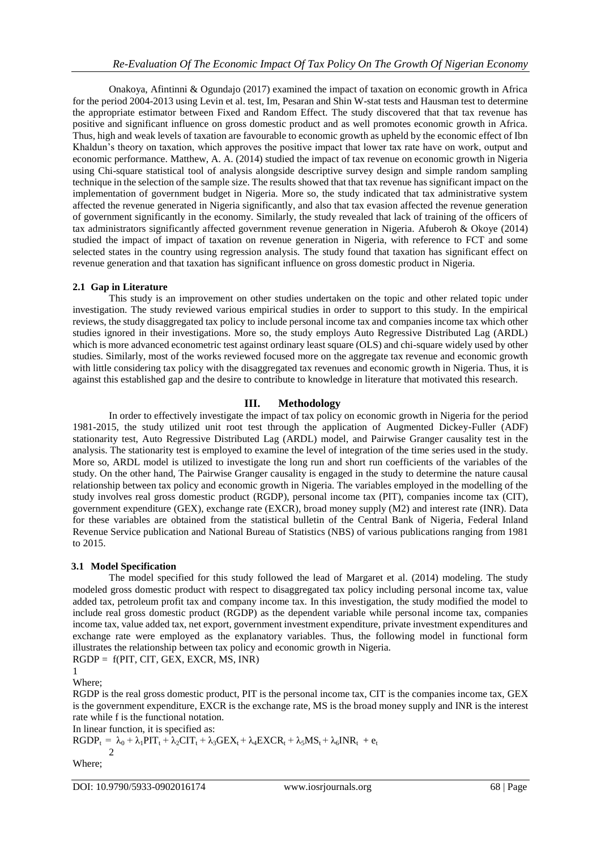Onakoya, Afintinni & Ogundajo (2017) examined the impact of taxation on economic growth in Africa for the period 2004-2013 using Levin et al. test, Im, Pesaran and Shin W-stat tests and Hausman test to determine the appropriate estimator between Fixed and Random Effect. The study discovered that that tax revenue has positive and significant influence on gross domestic product and as well promotes economic growth in Africa. Thus, high and weak levels of taxation are favourable to economic growth as upheld by the economic effect of Ibn Khaldun's theory on taxation, which approves the positive impact that lower tax rate have on work, output and economic performance. Matthew, A. A. (2014) studied the impact of tax revenue on economic growth in Nigeria using Chi-square statistical tool of analysis alongside descriptive survey design and simple random sampling technique in the selection of the sample size. The results showed that that tax revenue has significant impact on the implementation of government budget in Nigeria. More so, the study indicated that tax administrative system affected the revenue generated in Nigeria significantly, and also that tax evasion affected the revenue generation of government significantly in the economy. Similarly, the study revealed that lack of training of the officers of tax administrators significantly affected government revenue generation in Nigeria. Afuberoh & Okoye (2014) studied the impact of impact of taxation on revenue generation in Nigeria, with reference to FCT and some selected states in the country using regression analysis. The study found that taxation has significant effect on revenue generation and that taxation has significant influence on gross domestic product in Nigeria.

#### **2.1 Gap in Literature**

This study is an improvement on other studies undertaken on the topic and other related topic under investigation. The study reviewed various empirical studies in order to support to this study. In the empirical reviews, the study disaggregated tax policy to include personal income tax and companies income tax which other studies ignored in their investigations. More so, the study employs Auto Regressive Distributed Lag (ARDL) which is more advanced econometric test against ordinary least square (OLS) and chi-square widely used by other studies. Similarly, most of the works reviewed focused more on the aggregate tax revenue and economic growth with little considering tax policy with the disaggregated tax revenues and economic growth in Nigeria. Thus, it is against this established gap and the desire to contribute to knowledge in literature that motivated this research.

# **III. Methodology**

In order to effectively investigate the impact of tax policy on economic growth in Nigeria for the period 1981-2015, the study utilized unit root test through the application of Augmented Dickey-Fuller (ADF) stationarity test, Auto Regressive Distributed Lag (ARDL) model, and Pairwise Granger causality test in the analysis. The stationarity test is employed to examine the level of integration of the time series used in the study. More so, ARDL model is utilized to investigate the long run and short run coefficients of the variables of the study. On the other hand, The Pairwise Granger causality is engaged in the study to determine the nature causal relationship between tax policy and economic growth in Nigeria. The variables employed in the modelling of the study involves real gross domestic product (RGDP), personal income tax (PIT), companies income tax (CIT), government expenditure (GEX), exchange rate (EXCR), broad money supply (M2) and interest rate (INR). Data for these variables are obtained from the statistical bulletin of the Central Bank of Nigeria, Federal Inland Revenue Service publication and National Bureau of Statistics (NBS) of various publications ranging from 1981 to 2015.

## **3.1 Model Specification**

The model specified for this study followed the lead of Margaret et al. (2014) modeling. The study modeled gross domestic product with respect to disaggregated tax policy including personal income tax, value added tax, petroleum profit tax and company income tax. In this investigation, the study modified the model to include real gross domestic product (RGDP) as the dependent variable while personal income tax, companies income tax, value added tax, net export, government investment expenditure, private investment expenditures and exchange rate were employed as the explanatory variables. Thus, the following model in functional form illustrates the relationship between tax policy and economic growth in Nigeria.

 $RGDP = f(PIT, CIT, GEX, EXCR, MS, INR)$ 

1 Where;

RGDP is the real gross domestic product, PIT is the personal income tax, CIT is the companies income tax, GEX is the government expenditure, EXCR is the exchange rate, MS is the broad money supply and INR is the interest rate while f is the functional notation.

In linear function, it is specified as:

$$
RGDP_t = \lambda_0 + \lambda_1 PIT_t + \lambda_2 CIT_t + \lambda_3 GEX_t + \lambda_4 EXCR_t + \lambda_5 MS_t + \lambda_6 INR_t + e_t
$$

Where;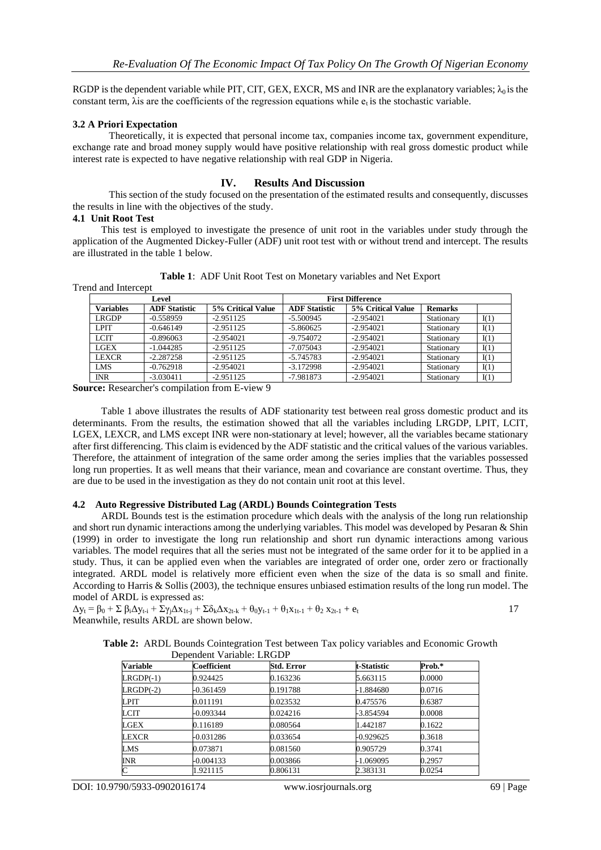RGDP is the dependent variable while PIT, CIT, GEX, EXCR, MS and INR are the explanatory variables;  $\lambda_0$  is the constant term,  $\lambda$  is are the coefficients of the regression equations while  $e_t$  is the stochastic variable.

#### **3.2 A Priori Expectation**

Theoretically, it is expected that personal income tax, companies income tax, government expenditure, exchange rate and broad money supply would have positive relationship with real gross domestic product while interest rate is expected to have negative relationship with real GDP in Nigeria.

#### **IV. Results And Discussion**

This section of the study focused on the presentation of the estimated results and consequently, discusses the results in line with the objectives of the study.

#### **4.1 Unit Root Test**

This test is employed to investigate the presence of unit root in the variables under study through the application of the Augmented Dickey-Fuller (ADF) unit root test with or without trend and intercept. The results are illustrated in the table 1 below.

|  |  | Table 1: ADF Unit Root Test on Monetary variables and Net Export |  |  |
|--|--|------------------------------------------------------------------|--|--|
|--|--|------------------------------------------------------------------|--|--|

|  | Trend and Intercept |  |
|--|---------------------|--|
|  |                     |  |

| Level            |                      |                   |                      | <b>First Difference</b> |                |      |
|------------------|----------------------|-------------------|----------------------|-------------------------|----------------|------|
| <b>Variables</b> | <b>ADF</b> Statistic | 5% Critical Value | <b>ADF Statistic</b> | 5% Critical Value       | <b>Remarks</b> |      |
| LRGDP            | $-0.558959$          | $-2.951125$       | $-5.500945$          | $-2.954021$             | Stationary     | I(1) |
| <b>LPIT</b>      | $-0.646149$          | $-2.951125$       | $-5.860625$          | $-2.954021$             | Stationary     | I(1) |
| <b>LCIT</b>      | $-0.896063$          | $-2.954021$       | -9.754072            | $-2.954021$             | Stationary     | I(1) |
| LGEX             | $-1.044285$          | $-2.951125$       | $-7.075043$          | $-2.954021$             | Stationary     | I(1) |
| <b>LEXCR</b>     | $-2.287258$          | $-2.951125$       | -5.745783            | $-2.954021$             | Stationary     | I(1) |
| <b>LMS</b>       | $-0.762918$          | $-2.954021$       | $-3.172998$          | $-2.954021$             | Stationary     | I(1) |
| <b>INR</b>       | $-3.030411$          | $-2.951125$       | $-7.981873$          | $-2.954021$             | Stationary     | I(1) |

**Source:** Researcher's compilation from E-view 9

Table 1 above illustrates the results of ADF stationarity test between real gross domestic product and its determinants. From the results, the estimation showed that all the variables including LRGDP, LPIT, LCIT, LGEX, LEXCR, and LMS except INR were non-stationary at level; however, all the variables became stationary after first differencing. This claim is evidenced by the ADF statistic and the critical values of the various variables. Therefore, the attainment of integration of the same order among the series implies that the variables possessed long run properties. It as well means that their variance, mean and covariance are constant overtime. Thus, they are due to be used in the investigation as they do not contain unit root at this level.

#### **4.2 Auto Regressive Distributed Lag (ARDL) Bounds Cointegration Tests**

ARDL Bounds test is the estimation procedure which deals with the analysis of the long run relationship and short run dynamic interactions among the underlying variables. This model was developed by Pesaran & Shin (1999) in order to investigate the long run relationship and short run dynamic interactions among various variables. The model requires that all the series must not be integrated of the same order for it to be applied in a study. Thus, it can be applied even when the variables are integrated of order one, order zero or fractionally integrated. ARDL model is relatively more efficient even when the size of the data is so small and finite. According to Harris & Sollis (2003), the technique ensures unbiased estimation results of the long run model. The model of ARDL is expressed as:

 $\Delta y_t = \beta_0 + \sum \beta_i \Delta y_{t-i} + \sum \gamma_j \Delta x_{1t-j} + \sum \delta_k \Delta x_{2t-k} + \theta_0 y_{t-1} + \theta_1 x_{1t-1} + \theta_2 x_{2t-1} + e_t$  17 Meanwhile, results ARDL are shown below.

|  |  | Table 2: ARDL Bounds Cointegration Test between Tax policy variables and Economic Growth |  |  |  |  |
|--|--|------------------------------------------------------------------------------------------|--|--|--|--|
|  |  | Dependent Variable: LRGDP                                                                |  |  |  |  |

| <b>Variable</b> | <b>Coefficient</b> | <b>Std. Error</b> | t-Statistic | Prob.* |
|-----------------|--------------------|-------------------|-------------|--------|
| $LRGDP(-1)$     | 0.924425           | 0.163236          | 5.663115    | 0.0000 |
| $LRGDP(-2)$     | $-0.361459$        | 0.191788          | -1.884680   | 0.0716 |
| <b>LPIT</b>     | 0.011191           | 0.023532          | 0.475576    | 0.6387 |
| <b>LCIT</b>     | $-0.093344$        | 0.024216          | -3.854594   | 0.0008 |
| <b>LGEX</b>     | 0.116189           | 0.080564          | 1.442187    | 0.1622 |
| LEXCR           | -0.031286          | 0.033654          | -0.929625   | 0.3618 |
| LMS             | 0.073871           | 0.081560          | 0.905729    | 0.3741 |
| <b>INR</b>      | $-0.004133$        | 0.003866          | -1.069095   | 0.2957 |
| C               | 1.921115           | 0.806131          | 2.383131    | 0.0254 |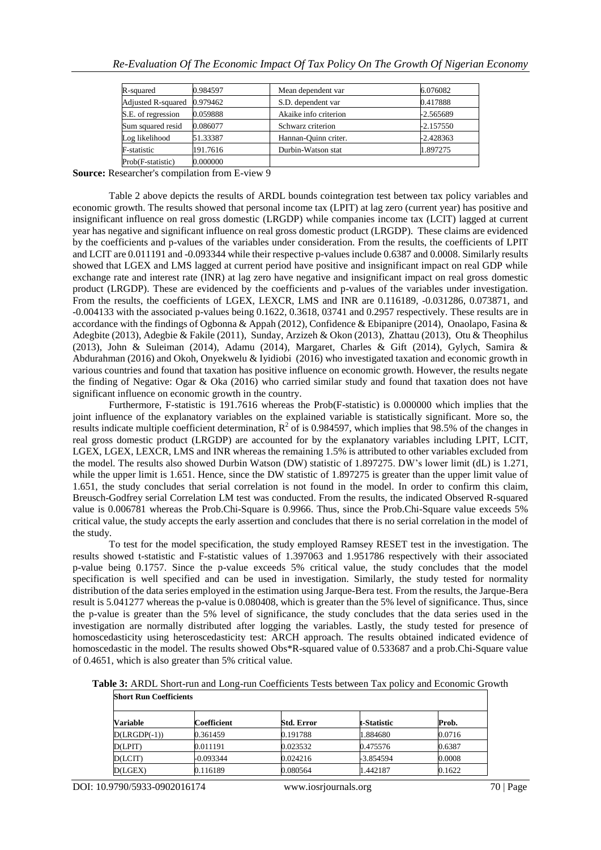| R-squared                 | 0.984597 | Mean dependent var    | 6.076082    |
|---------------------------|----------|-----------------------|-------------|
| <b>Adjusted R-squared</b> | 0.979462 | S.D. dependent var    | 0.417888    |
| S.E. of regression        | 0.059888 | Akaike info criterion | -2.565689   |
| Sum squared resid         | 0.086077 | Schwarz criterion     | $-2.157550$ |
| Log likelihood            | 51.33387 | Hannan-Quinn criter.  | $-2.428363$ |
| <b>F-statistic</b>        | 191.7616 | Durbin-Watson stat    | 1.897275    |
| Prob(F-statistic)         | 0.000000 |                       |             |

**Source:** Researcher's compilation from E-view 9

Table 2 above depicts the results of ARDL bounds cointegration test between tax policy variables and economic growth. The results showed that personal income tax (LPIT) at lag zero (current year) has positive and insignificant influence on real gross domestic (LRGDP) while companies income tax (LCIT) lagged at current year has negative and significant influence on real gross domestic product (LRGDP). These claims are evidenced by the coefficients and p-values of the variables under consideration. From the results, the coefficients of LPIT and LCIT are 0.011191 and -0.093344 while their respective p-values include 0.6387 and 0.0008. Similarly results showed that LGEX and LMS lagged at current period have positive and insignificant impact on real GDP while exchange rate and interest rate (INR) at lag zero have negative and insignificant impact on real gross domestic product (LRGDP). These are evidenced by the coefficients and p-values of the variables under investigation. From the results, the coefficients of LGEX, LEXCR, LMS and INR are 0.116189, -0.031286, 0.073871, and -0.004133 with the associated p-values being 0.1622, 0.3618, 03741 and 0.2957 respectively. These results are in accordance with the findings of Ogbonna & Appah (2012), Confidence & Ebipanipre (2014), Onaolapo, Fasina & Adegbite (2013), Adegbie & Fakile (2011), Sunday, Arzizeh & Okon (2013), Zhattau (2013), Otu & Theophilus (2013), John & Suleiman (2014), Adamu (2014), Margaret, Charles & Gift (2014), Gylych, Samira & Abdurahman (2016) and Okoh, Onyekwelu & Iyidiobi (2016) who investigated taxation and economic growth in various countries and found that taxation has positive influence on economic growth. However, the results negate the finding of Negative: Ogar & Oka (2016) who carried similar study and found that taxation does not have significant influence on economic growth in the country.

Furthermore, F-statistic is 191.7616 whereas the Prob(F-statistic) is 0.000000 which implies that the joint influence of the explanatory variables on the explained variable is statistically significant. More so, the results indicate multiple coefficient determination,  $R^2$  of is 0.984597, which implies that 98.5% of the changes in real gross domestic product (LRGDP) are accounted for by the explanatory variables including LPIT, LCIT, LGEX, LGEX, LEXCR, LMS and INR whereas the remaining 1.5% is attributed to other variables excluded from the model. The results also showed Durbin Watson (DW) statistic of 1.897275. DW's lower limit (dL) is 1.271, while the upper limit is 1.651. Hence, since the DW statistic of 1.897275 is greater than the upper limit value of 1.651, the study concludes that serial correlation is not found in the model. In order to confirm this claim, Breusch-Godfrey serial Correlation LM test was conducted. From the results, the indicated Observed R-squared value is 0.006781 whereas the Prob.Chi-Square is 0.9966. Thus, since the Prob.Chi-Square value exceeds 5% critical value, the study accepts the early assertion and concludes that there is no serial correlation in the model of the study.

To test for the model specification, the study employed Ramsey RESET test in the investigation. The results showed t-statistic and F-statistic values of 1.397063 and 1.951786 respectively with their associated p-value being 0.1757. Since the p-value exceeds 5% critical value, the study concludes that the model specification is well specified and can be used in investigation. Similarly, the study tested for normality distribution of the data series employed in the estimation using Jarque-Bera test. From the results, the Jarque-Bera result is 5.041277 whereas the p-value is 0.080408, which is greater than the 5% level of significance. Thus, since the p-value is greater than the 5% level of significance, the study concludes that the data series used in the investigation are normally distributed after logging the variables. Lastly, the study tested for presence of homoscedasticity using heteroscedasticity test: ARCH approach. The results obtained indicated evidence of homoscedastic in the model. The results showed Obs\*R-squared value of 0.533687 and a prob.Chi-Square value of 0.4651, which is also greater than 5% critical value.

**Table 3:** ARDL Short-run and Long-run Coefficients Tests between Tax policy and Economic Growth **Short Run Coefficients**

| <b>Variable</b> | Coefficient | <b>Std. Error</b> | t-Statistic | Prob.  |  |
|-----------------|-------------|-------------------|-------------|--------|--|
| $D(LRGDP(-1))$  | 0.361459    | 0.191788          | 1.884680    | 0.0716 |  |
| D(LPIT)         | 0.011191    | 0.023532          | 0.475576    | 0.6387 |  |
| D (LCIT)        | -0.093344   | 0.024216          | -3.854594   | 0.0008 |  |
| D(LGEX)         | 0.116189    | 0.080564          | 1.442187    | 0.1622 |  |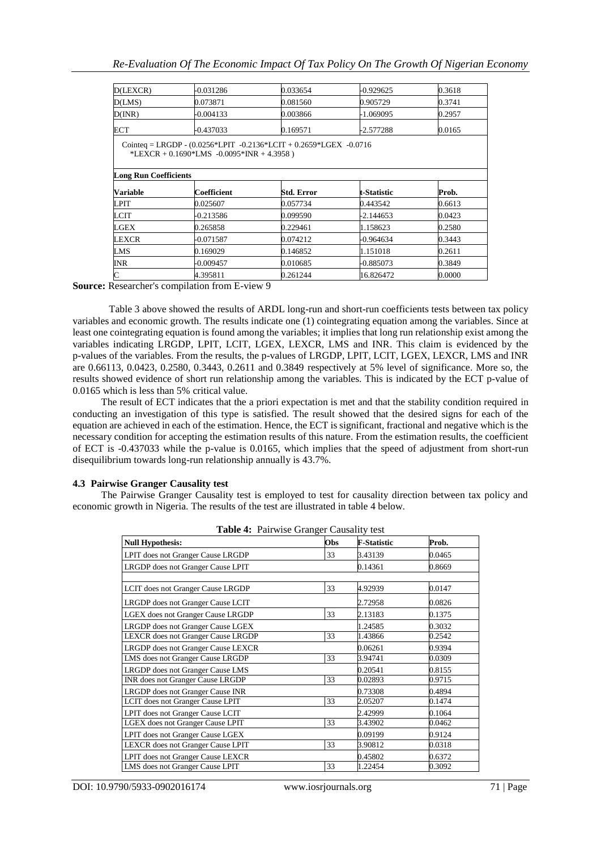| D(LEXCR)                     | -0.031286                                                                                                               | 0.033654   | $-0.929625$ | 0.3618 |
|------------------------------|-------------------------------------------------------------------------------------------------------------------------|------------|-------------|--------|
| D(LMS)                       | 0.073871                                                                                                                | 0.081560   | 0.905729    | 0.3741 |
| D(INR)                       | -0.004133                                                                                                               | 0.003866   | -1.069095   | 0.2957 |
| ECT                          | -0.437033                                                                                                               | 0.169571   | -2.577288   | 0.0165 |
| <b>Long Run Coefficients</b> | Cointeq = LRGDP - $(0.0256*LPIT -0.2136*LCIT + 0.2659*LGEX -0.0716$<br>*LEXCR + $0.1690$ *LMS - $0.0095$ *INR + 4.3958) |            |             |        |
|                              |                                                                                                                         |            |             |        |
| <b>Variable</b>              | Coefficient                                                                                                             | Std. Error | t-Statistic | Prob.  |
| LPIT                         | 0.025607                                                                                                                | 0.057734   | 0.443542    | 0.6613 |
| LCIT                         | -0.213586                                                                                                               | 0.099590   | -2.144653   | 0.0423 |
| LGEX                         | 0.265858                                                                                                                | 0.229461   | 1.158623    | 0.2580 |
| <b>LEXCR</b>                 | -0.071587                                                                                                               | 0.074212   | $-0.964634$ | 0.3443 |
| <b>LMS</b>                   | 0.169029                                                                                                                | 0.146852   | 1.151018    | 0.2611 |
| <b>INR</b>                   | -0.009457                                                                                                               | 0.010685   | -0.885073   | 0.3849 |
| $\mathbf C$                  | 4.395811                                                                                                                | 0.261244   | 16.826472   | 0.0000 |

**Source:** Researcher's compilation from E-view 9

Table 3 above showed the results of ARDL long-run and short-run coefficients tests between tax policy variables and economic growth. The results indicate one (1) cointegrating equation among the variables. Since at least one cointegrating equation is found among the variables; it implies that long run relationship exist among the variables indicating LRGDP, LPIT, LCIT, LGEX, LEXCR, LMS and INR. This claim is evidenced by the p-values of the variables. From the results, the p-values of LRGDP, LPIT, LCIT, LGEX, LEXCR, LMS and INR are 0.66113, 0.0423, 0.2580, 0.3443, 0.2611 and 0.3849 respectively at 5% level of significance. More so, the results showed evidence of short run relationship among the variables. This is indicated by the ECT p-value of 0.0165 which is less than 5% critical value.

The result of ECT indicates that the a priori expectation is met and that the stability condition required in conducting an investigation of this type is satisfied. The result showed that the desired signs for each of the equation are achieved in each of the estimation. Hence, the ECT is significant, fractional and negative which is the necessary condition for accepting the estimation results of this nature. From the estimation results, the coefficient of ECT is -0.437033 while the p-value is 0.0165, which implies that the speed of adjustment from short-run disequilibrium towards long-run relationship annually is 43.7%.

#### **4.3 Pairwise Granger Causality test**

The Pairwise Granger Causality test is employed to test for causality direction between tax policy and economic growth in Nigeria. The results of the test are illustrated in table 4 below.

|                                    | <b>Table 4:</b> Pairwise Granger Causality test |                    |        |  |  |  |  |
|------------------------------------|-------------------------------------------------|--------------------|--------|--|--|--|--|
| <b>Null Hypothesis:</b>            | Obs                                             | <b>F-Statistic</b> | Prob.  |  |  |  |  |
| LPIT does not Granger Cause LRGDP  | 33                                              | 3.43139            | 0.0465 |  |  |  |  |
| LRGDP does not Granger Cause LPIT  |                                                 | 0.14361            | 0.8669 |  |  |  |  |
|                                    |                                                 |                    |        |  |  |  |  |
| LCIT does not Granger Cause LRGDP  | 33                                              | 4.92939            | 0.0147 |  |  |  |  |
| LRGDP does not Granger Cause LCIT  |                                                 | 2.72958            | 0.0826 |  |  |  |  |
| LGEX does not Granger Cause LRGDP  | 33                                              | 2.13183            | 0.1375 |  |  |  |  |
| LRGDP does not Granger Cause LGEX  |                                                 | 1.24585            | 0.3032 |  |  |  |  |
| LEXCR does not Granger Cause LRGDP | 33                                              | 1.43866            | 0.2542 |  |  |  |  |
| LRGDP does not Granger Cause LEXCR |                                                 | 0.06261            | 0.9394 |  |  |  |  |
| LMS does not Granger Cause LRGDP   | 33                                              | 3.94741            | 0.0309 |  |  |  |  |
| LRGDP does not Granger Cause LMS   |                                                 | 0.20541            | 0.8155 |  |  |  |  |
| INR does not Granger Cause LRGDP   | 33                                              | 0.02893            | 0.9715 |  |  |  |  |
| LRGDP does not Granger Cause INR   |                                                 | 0.73308            | 0.4894 |  |  |  |  |
| LCIT does not Granger Cause LPIT   | 33                                              | 2.05207            | 0.1474 |  |  |  |  |
| LPIT does not Granger Cause LCIT   |                                                 | 2.42999            | 0.1064 |  |  |  |  |
| LGEX does not Granger Cause LPIT   | 33                                              | 3.43902            | 0.0462 |  |  |  |  |
| LPIT does not Granger Cause LGEX   |                                                 | 0.09199            | 0.9124 |  |  |  |  |
| LEXCR does not Granger Cause LPIT  | 33                                              | 3.90812            | 0.0318 |  |  |  |  |
| LPIT does not Granger Cause LEXCR  |                                                 | 0.45802            | 0.6372 |  |  |  |  |
| LMS does not Granger Cause LPIT    | 33                                              | 1.22454            | 0.3092 |  |  |  |  |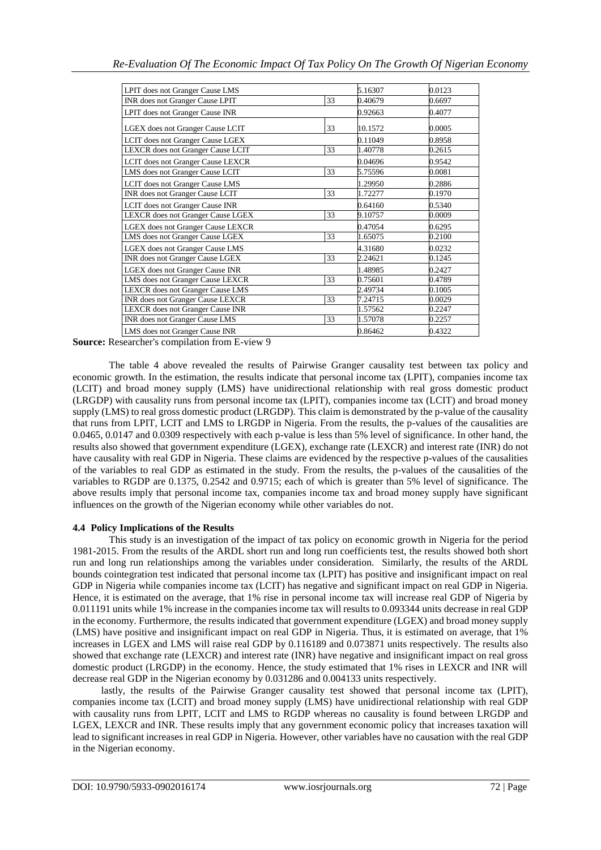| LPIT does not Granger Cause LMS         |    | 5.16307 | 0.0123 |
|-----------------------------------------|----|---------|--------|
| INR does not Granger Cause LPIT         | 33 | 0.40679 | 0.6697 |
| LPIT does not Granger Cause INR         |    | 0.92663 | 0.4077 |
| LGEX does not Granger Cause LCIT        | 33 | 10.1572 | 0.0005 |
| LCIT does not Granger Cause LGEX        |    | 0.11049 | 0.8958 |
| LEXCR does not Granger Cause LCIT       | 33 | 1.40778 | 0.2615 |
| LCIT does not Granger Cause LEXCR       |    | 0.04696 | 0.9542 |
| LMS does not Granger Cause LCIT         | 33 | 5.75596 | 0.0081 |
| LCIT does not Granger Cause LMS         |    | 1.29950 | 0.2886 |
| INR does not Granger Cause LCIT         | 33 | 1.72277 | 0.1970 |
| LCIT does not Granger Cause INR         |    | 0.64160 | 0.5340 |
| LEXCR does not Granger Cause LGEX       | 33 | 9.10757 | 0.0009 |
| LGEX does not Granger Cause LEXCR       |    | 0.47054 | 0.6295 |
| LMS does not Granger Cause LGEX         | 33 | 1.65075 | 0.2100 |
| <b>LGEX</b> does not Granger Cause LMS  |    | 4.31680 | 0.0232 |
| INR does not Granger Cause LGEX         | 33 | 2.24621 | 0.1245 |
| LGEX does not Granger Cause INR         |    | 1.48985 | 0.2427 |
| LMS does not Granger Cause LEXCR        | 33 | 0.75601 | 0.4789 |
| <b>LEXCR</b> does not Granger Cause LMS |    | 2.49734 | 0.1005 |
| INR does not Granger Cause LEXCR        | 33 | 7.24715 | 0.0029 |
| LEXCR does not Granger Cause INR        |    | 1.57562 | 0.2247 |
| INR does not Granger Cause LMS          | 33 | 1.57078 | 0.2257 |
| LMS does not Granger Cause INR          |    | 0.86462 | 0.4322 |
|                                         |    |         |        |

**Source:** Researcher's compilation from E-view 9

The table 4 above revealed the results of Pairwise Granger causality test between tax policy and economic growth. In the estimation, the results indicate that personal income tax (LPIT), companies income tax (LCIT) and broad money supply (LMS) have unidirectional relationship with real gross domestic product (LRGDP) with causality runs from personal income tax (LPIT), companies income tax (LCIT) and broad money supply (LMS) to real gross domestic product (LRGDP). This claim is demonstrated by the p-value of the causality that runs from LPIT, LCIT and LMS to LRGDP in Nigeria. From the results, the p-values of the causalities are 0.0465, 0.0147 and 0.0309 respectively with each p-value is less than 5% level of significance. In other hand, the results also showed that government expenditure (LGEX), exchange rate (LEXCR) and interest rate (INR) do not have causality with real GDP in Nigeria. These claims are evidenced by the respective p-values of the causalities of the variables to real GDP as estimated in the study. From the results, the p-values of the causalities of the variables to RGDP are 0.1375, 0.2542 and 0.9715; each of which is greater than 5% level of significance. The above results imply that personal income tax, companies income tax and broad money supply have significant influences on the growth of the Nigerian economy while other variables do not.

## **4.4 Policy Implications of the Results**

This study is an investigation of the impact of tax policy on economic growth in Nigeria for the period 1981-2015. From the results of the ARDL short run and long run coefficients test, the results showed both short run and long run relationships among the variables under consideration. Similarly, the results of the ARDL bounds cointegration test indicated that personal income tax (LPIT) has positive and insignificant impact on real GDP in Nigeria while companies income tax (LCIT) has negative and significant impact on real GDP in Nigeria. Hence, it is estimated on the average, that 1% rise in personal income tax will increase real GDP of Nigeria by 0.011191 units while 1% increase in the companies income tax will results to 0.093344 units decrease in real GDP in the economy. Furthermore, the results indicated that government expenditure (LGEX) and broad money supply (LMS) have positive and insignificant impact on real GDP in Nigeria. Thus, it is estimated on average, that 1% increases in LGEX and LMS will raise real GDP by 0.116189 and 0.073871 units respectively. The results also showed that exchange rate (LEXCR) and interest rate (INR) have negative and insignificant impact on real gross domestic product (LRGDP) in the economy. Hence, the study estimated that 1% rises in LEXCR and INR will decrease real GDP in the Nigerian economy by 0.031286 and 0.004133 units respectively.

lastly, the results of the Pairwise Granger causality test showed that personal income tax (LPIT), companies income tax (LCIT) and broad money supply (LMS) have unidirectional relationship with real GDP with causality runs from LPIT, LCIT and LMS to RGDP whereas no causality is found between LRGDP and LGEX, LEXCR and INR. These results imply that any government economic policy that increases taxation will lead to significant increases in real GDP in Nigeria. However, other variables have no causation with the real GDP in the Nigerian economy.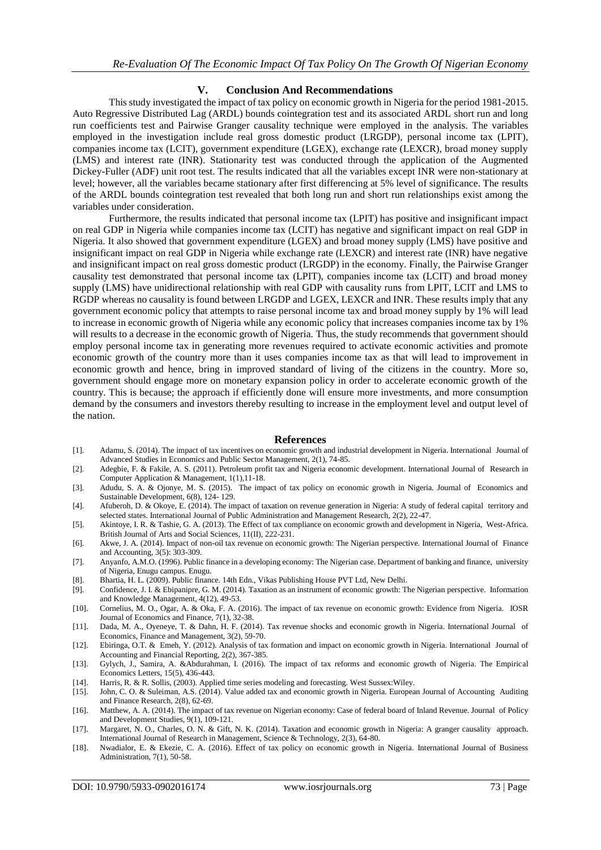#### **V. Conclusion And Recommendations**

This study investigated the impact of tax policy on economic growth in Nigeria for the period 1981-2015. Auto Regressive Distributed Lag (ARDL) bounds cointegration test and its associated ARDL short run and long run coefficients test and Pairwise Granger causality technique were employed in the analysis. The variables employed in the investigation include real gross domestic product (LRGDP), personal income tax (LPIT), companies income tax (LCIT), government expenditure (LGEX), exchange rate (LEXCR), broad money supply (LMS) and interest rate (INR). Stationarity test was conducted through the application of the Augmented Dickey-Fuller (ADF) unit root test. The results indicated that all the variables except INR were non-stationary at level; however, all the variables became stationary after first differencing at 5% level of significance. The results of the ARDL bounds cointegration test revealed that both long run and short run relationships exist among the variables under consideration.

Furthermore, the results indicated that personal income tax (LPIT) has positive and insignificant impact on real GDP in Nigeria while companies income tax (LCIT) has negative and significant impact on real GDP in Nigeria. It also showed that government expenditure (LGEX) and broad money supply (LMS) have positive and insignificant impact on real GDP in Nigeria while exchange rate (LEXCR) and interest rate (INR) have negative and insignificant impact on real gross domestic product (LRGDP) in the economy. Finally, the Pairwise Granger causality test demonstrated that personal income tax (LPIT), companies income tax (LCIT) and broad money supply (LMS) have unidirectional relationship with real GDP with causality runs from LPIT, LCIT and LMS to RGDP whereas no causality is found between LRGDP and LGEX, LEXCR and INR. These results imply that any government economic policy that attempts to raise personal income tax and broad money supply by 1% will lead to increase in economic growth of Nigeria while any economic policy that increases companies income tax by 1% will results to a decrease in the economic growth of Nigeria. Thus, the study recommends that government should employ personal income tax in generating more revenues required to activate economic activities and promote economic growth of the country more than it uses companies income tax as that will lead to improvement in economic growth and hence, bring in improved standard of living of the citizens in the country. More so, government should engage more on monetary expansion policy in order to accelerate economic growth of the country. This is because; the approach if efficiently done will ensure more investments, and more consumption demand by the consumers and investors thereby resulting to increase in the employment level and output level of the nation.

#### **References**

- [1]. Adamu, S. (2014). The impact of tax incentives on economic growth and industrial development in Nigeria. International Journal of Advanced Studies in Economics and Public Sector Management, 2(1), 74-85.
- [2]. Adegbie, F. & Fakile, A. S. (2011). Petroleum profit tax and Nigeria economic development. International Journal of Research in Computer Application & Management, 1(1),11-18.
- [3]. Adudu, S. A. & Ojonye, M. S. (2015). The impact of tax policy on economic growth in Nigeria. Journal of Economics and Sustainable Development, 6(8), 124- 129.
- [4]. Afuberoh, D. & Okoye, E. (2014). The impact of taxation on revenue generation in Nigeria: A study of federal capital territory and selected states. International Journal of Public Administration and Management Research, 2(2), 22-47.
- [5]. Akintoye, I. R. & Tashie, G. A. (2013). The Effect of tax compliance on economic growth and development in Nigeria, West-Africa. British Journal of Arts and Social Sciences, 11(II), 222-231.
- [6]. Akwe, J. A. (2014). Impact of non-oil tax revenue on economic growth: The Nigerian perspective. International Journal of Finance and Accounting, 3(5): 303-309.
- [7]. Anyanfo, A.M.O. (1996). Public finance in a developing economy: The Nigerian case. Department of banking and finance, university of Nigeria, Enugu campus. Enugu.
- [8]. Bhartia, H. L. (2009). Public finance. 14th Edn., Vikas Publishing House PVT Ltd, New Delhi.
- [9]. Confidence, J. I. & Ebipanipre, G. M. (2014). Taxation as an instrument of economic growth: The Nigerian perspective. Information and Knowledge Management, 4(12), 49-53.
- [10]. Cornelius, M. O., Ogar, A. & Oka, F. A. (2016). The impact of tax revenue on economic growth: Evidence from Nigeria. IOSR Journal of Economics and Finance, 7(1), 32-38.
- [11]. Dada, M. A., Oyeneye, T. & Dahn, H. F. (2014). Tax revenue shocks and economic growth in Nigeria. International Journal of Economics, Finance and Management, 3(2), 59-70.
- [12]. Ebiringa, O.T. & Emeh, Y. (2012). Analysis of tax formation and impact on economic growth in Nigeria. International Journal of Accounting and Financial Reporting, 2(2), 367-385.
- [13]. Gylych, J., Samira, A. &Abdurahman, I. (2016). The impact of tax reforms and economic growth of Nigeria. The Empirical Economics Letters, 15(5), 436-443.
- [14]. Harris, R. & R. Sollis, (2003). Applied time series modeling and forecasting. West Sussex:Wiley.
- [15]. John, C. O. & Suleiman, A.S. (2014). Value added tax and economic growth in Nigeria. European Journal of Accounting Auditing and Finance Research, 2(8), 62-69.
- [16]. Matthew, A. A. (2014). The impact of tax revenue on Nigerian economy: Case of federal board of Inland Revenue. Journal of Policy and Development Studies, 9(1), 109-121.
- [17]. Margaret, N. O., Charles, O. N. & Gift, N. K. (2014). Taxation and economic growth in Nigeria: A granger causality approach. International Journal of Research in Management, Science & Technology, 2(3), 64-80.
- [18]. Nwadialor, E. & Ekezie, C. A. (2016). Effect of tax policy on economic growth in Nigeria. International Journal of Business Administration, 7(1), 50-58.